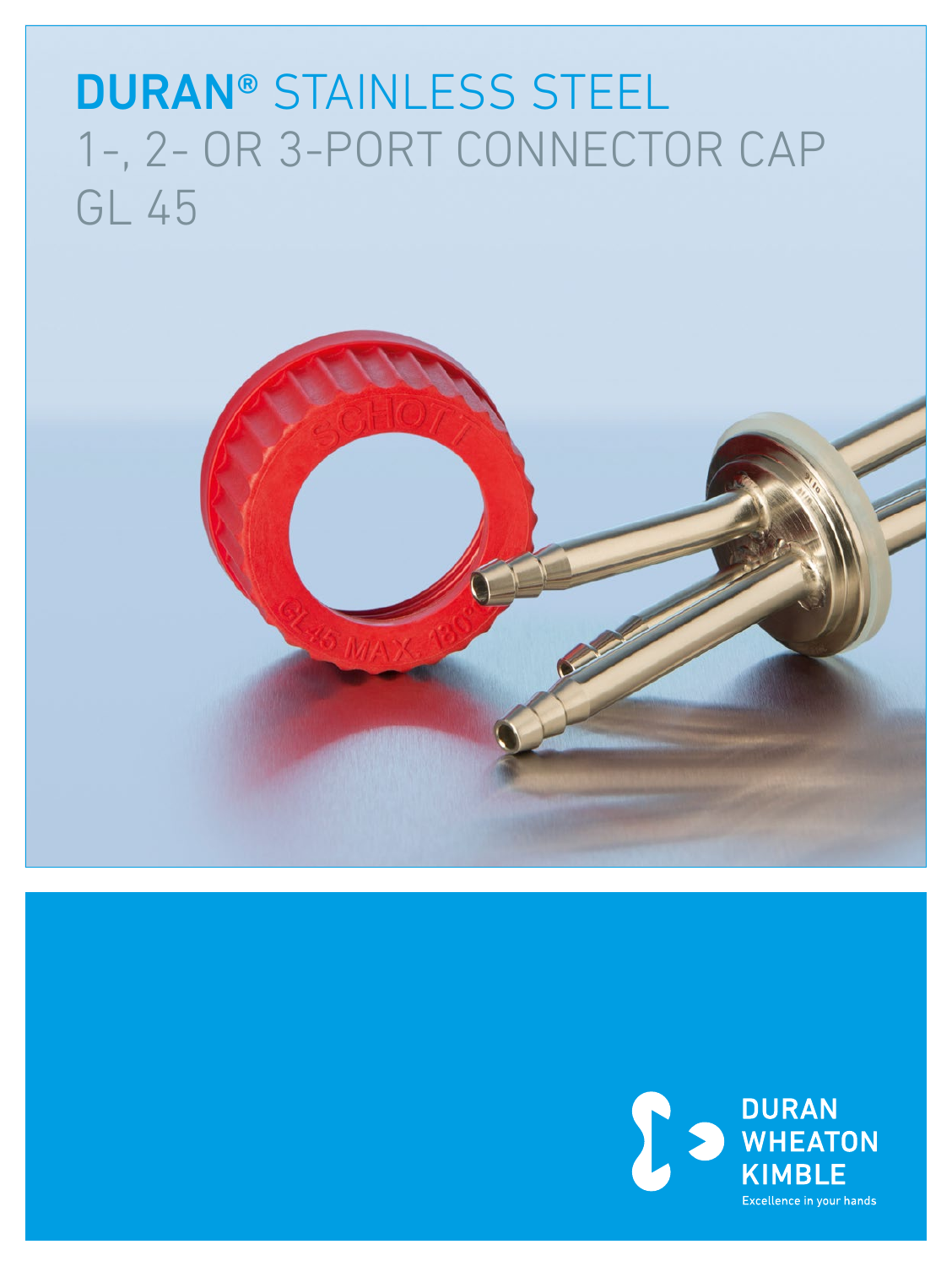# DURAN® STAINLESS STEEL 1-, 2- OR 3-PORT CONNECTOR CAP GL 45